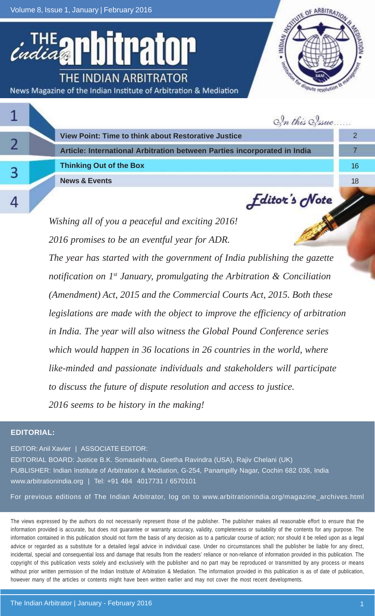Volume 8, Issue 1, January | February 2016

trator THE INDIAN ARBITRATOR News Magazine of the Indian Institute of Arbitration & Mediation



|  | In this Sysue                                                            |    |
|--|--------------------------------------------------------------------------|----|
|  | <b>View Point: Time to think about Restorative Justice</b>               |    |
|  | Article: International Arbitration between Parties incorporated in India |    |
|  | <b>Thinking Out of the Box</b>                                           | 16 |
|  | <b>News &amp; Events</b>                                                 | 18 |
|  | <b><i><u>Editor's</u></i></b> Note                                       |    |

*Wishing all of you a peaceful and exciting 2016! 2016 promises to be an eventful year for ADR. The year has started with the government of India publishing the gazette notification on 1st January, promulgating the Arbitration & Conciliation (Amendment) Act, 2015 and the Commercial Courts Act, 2015. Both these legislations are made with the object to improve the efficiency of arbitration in India. The year will also witness the Global Pound Conference series which would happen in 36 locations in 26 countries in the world, where like-minded and passionate individuals and stakeholders will participate to discuss the future of dispute resolution and access to justice. 2016 seems to be history in the making!*

#### **EDITORIAL:**

EDITOR: Anil Xavier | ASSOCIATE EDITOR:

EDITORIAL BOARD: Justice B.K. Somasekhara, Geetha Ravindra (USA), Rajiv Chelani (UK) PUBLISHER: Indian Institute of Arbitration & Mediation, G-254, Panampilly Nagar, Cochin 682 036, India www.arbitrationindia.org | Tel: +91 484 4017731 / 6570101

For previous editions of The Indian Arbitrator, log on to www.arbitrationindia.org/magazine\_archives.html

The views expressed by the authors do not necessarily represent those of the publisher. The publisher makes all reasonable effort to ensure that the information provided is accurate, but does not guarantee or warranty accuracy, validity, completeness or suitability of the contents for any purpose. The information contained in this publication should not form the basis of any decision as to a particular course of action; nor should it be relied upon as a legal advice or regarded as a substitute for a detailed legal advice in individual case. Under no circumstances shall the publisher be liable for any direct, incidental, special and consequential loss and damage that results from the readers' reliance or non-reliance of information provided in this publication. The copyright of this publication vests solely and exclusively with the publisher and no part may be reproduced or transmitted by any process or means without prior written permission of the Indian Institute of Arbitration & Mediation. The information provided in this publication is as of date of publication, however many of the articles or contents might have been written earlier and may not cover the most recent developments.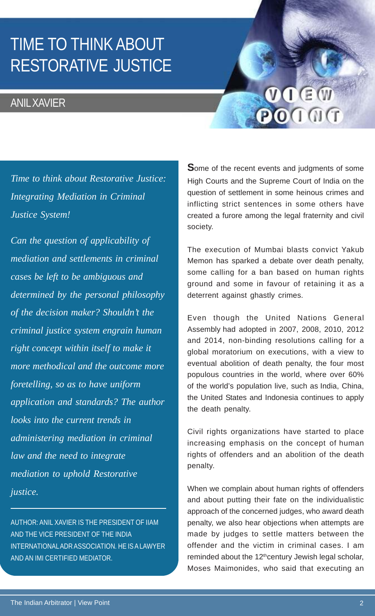## TIME TO THINK ABOUT RESTORATIVE JUSTICE

### ANIL XAVIER

# VIEW POINT

*Time to think about Restorative Justice: Integrating Mediation in Criminal Justice System!*

*Can the question of applicability of mediation and settlements in criminal cases be left to be ambiguous and determined by the personal philosophy of the decision maker? Shouldn't the criminal justice system engrain human right concept within itself to make it more methodical and the outcome more foretelling, so as to have uniform application and standards? The author looks into the current trends in administering mediation in criminal law and the need to integrate mediation to uphold Restorative justice.*

AUTHOR: ANIL XAVIER IS THE PRESIDENT OF IIAM AND THE VICE PRESIDENT OF THE INDIA INTERNATIONAL ADR ASSOCIATION. HE IS A LAWYER AND AN IMI CERTIFIED MEDIATOR.

**S**ome of the recent events and judgments of some High Courts and the Supreme Court of India on the question of settlement in some heinous crimes and inflicting strict sentences in some others have created a furore among the legal fraternity and civil society.

The execution of Mumbai blasts convict Yakub Memon has sparked a debate over death penalty, some calling for a ban based on human rights ground and some in favour of retaining it as a deterrent against ghastly crimes.

Even though the United Nations General Assembly had adopted in 2007, 2008, 2010, 2012 and 2014, non-binding resolutions calling for a global moratorium on executions, with a view to eventual abolition of death penalty, the four most populous countries in the world, where over 60% of the world's population live, such as India, China, the United States and Indonesia continues to apply the death penalty.

Civil rights organizations have started to place increasing emphasis on the concept of human rights of offenders and an abolition of the death penalty.

When we complain about human rights of offenders and about putting their fate on the individualistic approach of the concerned judges, who award death penalty, we also hear objections when attempts are made by judges to settle matters between the offender and the victim in criminal cases. I am reminded about the 12<sup>th</sup>century Jewish legal scholar, Moses Maimonides, who said that executing an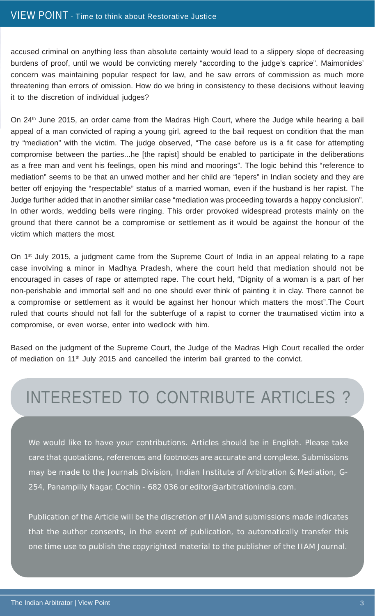accused criminal on anything less than absolute certainty would lead to a slippery slope of decreasing burdens of proof, until we would be convicting merely "according to the judge's caprice". Maimonides' concern was maintaining popular respect for law, and he saw errors of commission as much more threatening than errors of omission. How do we bring in consistency to these decisions without leaving it to the discretion of individual judges?

On 24<sup>th</sup> June 2015, an order came from the Madras High Court, where the Judge while hearing a bail appeal of a man convicted of raping a young girl, agreed to the bail request on condition that the man try "mediation" with the victim. The judge observed, "The case before us is a fit case for attempting compromise between the parties...he [the rapist] should be enabled to participate in the deliberations as a free man and vent his feelings, open his mind and moorings". The logic behind this "reference to mediation" seems to be that an unwed mother and her child are "lepers" in Indian society and they are better off enjoying the "respectable" status of a married woman, even if the husband is her rapist. The Judge further added that in another similar case "mediation was proceeding towards a happy conclusion". In other words, wedding bells were ringing. This order provoked widespread protests mainly on the ground that there cannot be a compromise or settlement as it would be against the honour of the victim which matters the most.

On 1<sup>st</sup> July 2015, a judgment came from the Supreme Court of India in an appeal relating to a rape case involving a minor in Madhya Pradesh, where the court held that mediation should not be encouraged in cases of rape or attempted rape. The court held, "Dignity of a woman is a part of her non-perishable and immortal self and no one should ever think of painting it in clay. There cannot be a compromise or settlement as it would be against her honour which matters the most".The Court ruled that courts should not fall for the subterfuge of a rapist to corner the traumatised victim into a compromise, or even worse, enter into wedlock with him.

Based on the judgment of the Supreme Court, the Judge of the Madras High Court recalled the order of mediation on  $11<sup>th</sup>$  July 2015 and cancelled the interim bail granted to the convict.

## INTERESTED TO CONTRIBUTE ARTICLES ?

We would like to have your contributions. Articles should be in English. Please take care that quotations, references and footnotes are accurate and complete. Submissions may be made to the Journals Division, Indian Institute of Arbitration & Mediation, G-254, Panampilly Nagar, Cochin - 682 036 or editor@arbitrationindia.com.

Publication of the Article will be the discretion of IIAM and submissions made indicates that the author consents, in the event of publication, to automatically transfer this one time use to publish the copyrighted material to the publisher of the IIAM Journal.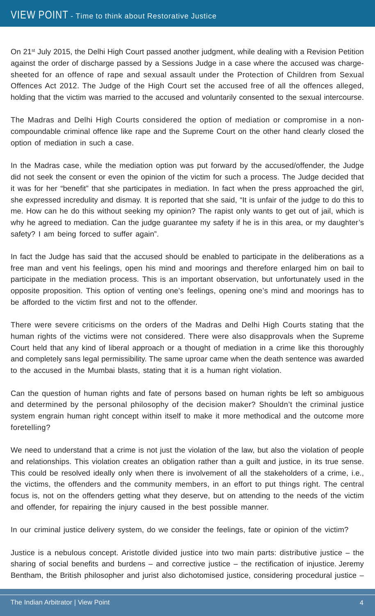On 21<sup>st</sup> July 2015, the Delhi High Court passed another judgment, while dealing with a Revision Petition against the order of discharge passed by a Sessions Judge in a case where the accused was chargesheeted for an offence of rape and sexual assault under the Protection of Children from Sexual Offences Act 2012. The Judge of the High Court set the accused free of all the offences alleged, holding that the victim was married to the accused and voluntarily consented to the sexual intercourse.

The Madras and Delhi High Courts considered the option of mediation or compromise in a noncompoundable criminal offence like rape and the Supreme Court on the other hand clearly closed the option of mediation in such a case.

In the Madras case, while the mediation option was put forward by the accused/offender, the Judge did not seek the consent or even the opinion of the victim for such a process. The Judge decided that it was for her "benefit" that she participates in mediation. In fact when the press approached the girl, she expressed incredulity and dismay. It is reported that she said, "It is unfair of the judge to do this to me. How can he do this without seeking my opinion? The rapist only wants to get out of jail, which is why he agreed to mediation. Can the judge guarantee my safety if he is in this area, or my daughter's safety? I am being forced to suffer again".

In fact the Judge has said that the accused should be enabled to participate in the deliberations as a free man and vent his feelings, open his mind and moorings and therefore enlarged him on bail to participate in the mediation process. This is an important observation, but unfortunately used in the opposite proposition. This option of venting one's feelings, opening one's mind and moorings has to be afforded to the victim first and not to the offender.

There were severe criticisms on the orders of the Madras and Delhi High Courts stating that the human rights of the victims were not considered. There were also disapprovals when the Supreme Court held that any kind of liberal approach or a thought of mediation in a crime like this thoroughly and completely sans legal permissibility. The same uproar came when the death sentence was awarded to the accused in the Mumbai blasts, stating that it is a human right violation.

Can the question of human rights and fate of persons based on human rights be left so ambiguous and determined by the personal philosophy of the decision maker? Shouldn't the criminal justice system engrain human right concept within itself to make it more methodical and the outcome more foretelling?

We need to understand that a crime is not just the violation of the law, but also the violation of people and relationships. This violation creates an obligation rather than a guilt and justice, in its true sense. This could be resolved ideally only when there is involvement of all the stakeholders of a crime, i.e., the victims, the offenders and the community members, in an effort to put things right. The central focus is, not on the offenders getting what they deserve, but on attending to the needs of the victim and offender, for repairing the injury caused in the best possible manner.

In our criminal justice delivery system, do we consider the feelings, fate or opinion of the victim?

Justice is a nebulous concept. Aristotle divided justice into two main parts: distributive justice – the sharing of social benefits and burdens – and corrective justice – the rectification of injustice. Jeremy Bentham, the British philosopher and jurist also dichotomised justice, considering procedural justice –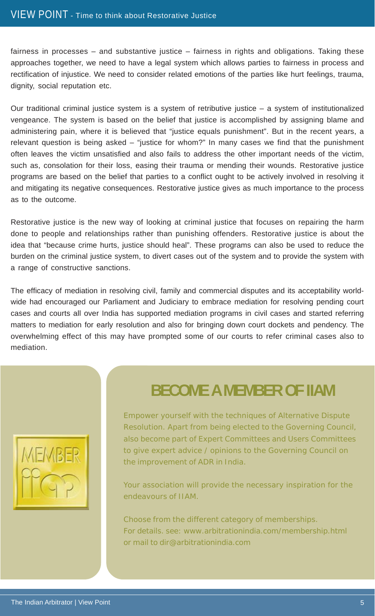fairness in processes – and substantive justice – fairness in rights and obligations. Taking these approaches together, we need to have a legal system which allows parties to fairness in process and rectification of injustice. We need to consider related emotions of the parties like hurt feelings, trauma, dignity, social reputation etc.

Our traditional criminal justice system is a system of retributive justice – a system of institutionalized vengeance. The system is based on the belief that justice is accomplished by assigning blame and administering pain, where it is believed that "justice equals punishment". But in the recent years, a relevant question is being asked – "justice for whom?" In many cases we find that the punishment often leaves the victim unsatisfied and also fails to address the other important needs of the victim, such as, consolation for their loss, easing their trauma or mending their wounds. Restorative justice programs are based on the belief that parties to a conflict ought to be actively involved in resolving it and mitigating its negative consequences. Restorative justice gives as much importance to the process as to the outcome.

Restorative justice is the new way of looking at criminal justice that focuses on repairing the harm done to people and relationships rather than punishing offenders. Restorative justice is about the idea that "because crime hurts, justice should heal". These programs can also be used to reduce the burden on the criminal justice system, to divert cases out of the system and to provide the system with a range of constructive sanctions.

The efficacy of mediation in resolving civil, family and commercial disputes and its acceptability worldwide had encouraged our Parliament and Judiciary to embrace mediation for resolving pending court cases and courts all over India has supported mediation programs in civil cases and started referring matters to mediation for early resolution and also for bringing down court dockets and pendency. The overwhelming effect of this may have prompted some of our courts to refer criminal cases also to mediation.



### **BECOME A MEMBER OF IIAM**

Empower yourself with the techniques of Alternative Dispute Resolution. Apart from being elected to the Governing Council, also become part of Expert Committees and Users Committees to give expert advice / opinions to the Governing Council on the improvement of ADR in India.

Your association will provide the necessary inspiration for the endeavours of IIAM.

Choose from the different category of memberships. For details. see: www.arbitrationindia.com/membership.html or mail to dir@arbitrationindia.com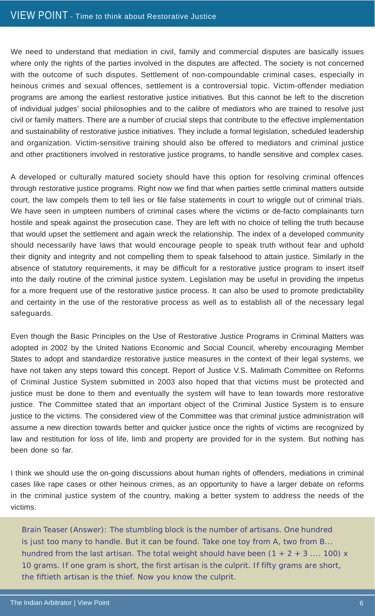We need to understand that mediation in civil, family and commercial disputes are basically issues where only the rights of the parties involved in the disputes are affected. The society is not concerned with the outcome of such disputes. Settlement of non-compoundable criminal cases, especially in heinous crimes and sexual offences, settlement is a controversial topic. Victim-offender mediation programs are among the earliest restorative justice initiatives. But this cannot be left to the discretion of individual judges' social philosophies and to the calibre of mediators who are trained to resolve just civil or family matters. There are a number of crucial steps that contribute to the effective implementation and sustainability of restorative justice initiatives. They include a formal legislation, scheduled leadership and organization. Victim-sensitive training should also be offered to mediators and criminal justice and other practitioners involved in restorative justice programs, to handle sensitive and complex cases.

A developed or culturally matured society should have this option for resolving criminal offences through restorative justice programs. Right now we find that when parties settle criminal matters outside court, the law compels them to tell lies or file false statements in court to wriggle out of criminal trials. We have seen in umpteen numbers of criminal cases where the victims or de-facto complainants turn hostile and speak against the prosecution case. They are left with no choice of telling the truth because that would upset the settlement and again wreck the relationship. The index of a developed community should necessarily have laws that would encourage people to speak truth without fear and uphold their dignity and integrity and not compelling them to speak falsehood to attain justice. Similarly in the absence of statutory requirements, it may be difficult for a restorative justice program to insert itself into the daily routine of the criminal justice system. Legislation may be useful in providing the impetus for a more frequent use of the restorative justice process. It can also be used to promote predictability and certainty in the use of the restorative process as well as to establish all of the necessary legal safeguards.

Even though the Basic Principles on the Use of Restorative Justice Programs in Criminal Matters was adopted in 2002 by the United Nations Economic and Social Council, whereby encouraging Member States to adopt and standardize restorative justice measures in the context of their legal systems, we have not taken any steps toward this concept. Report of Justice V.S. Malimath Committee on Reforms of Criminal Justice System submitted in 2003 also hoped that that victims must be protected and justice must be done to them and eventually the system will have to lean towards more restorative justice. The Committee stated that an important object of the Criminal Justice System is to ensure justice to the victims. The considered view of the Committee was that criminal justice administration will assume a new direction towards better and quicker justice once the rights of victims are recognized by law and restitution for loss of life, limb and property are provided for in the system. But nothing has been done so far.

I think we should use the on-going discussions about human rights of offenders, mediations in criminal cases like rape cases or other heinous crimes, as an opportunity to have a larger debate on reforms in the criminal justice system of the country, making a better system to address the needs of the victims.

Brain Teaser (Answer): The stumbling block is the number of artisans. One hundred is just too many to handle. But it can be found. Take one toy from A, two from B... hundred from the last artisan. The total weight should have been  $(1 + 2 + 3)$  .... 100) x 10 grams. If one gram is short, the first artisan is the culprit. If fifty grams are short, the fiftieth artisan is the thief. Now you know the culprit.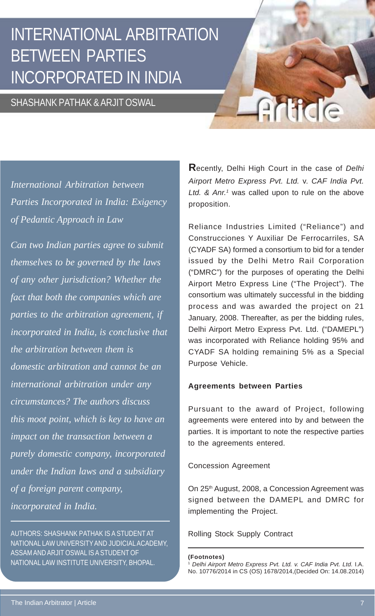## INTERNATIONAL ARBITRATION BETWEEN PARTIES INCORPORATED IN INDIA

#### SHASHANK PATHAK & ARJIT OSWAL

*International Arbitration between Parties Incorporated in India: Exigency of Pedantic Approach in Law*

*Can two Indian parties agree to submit themselves to be governed by the laws of any other jurisdiction? Whether the fact that both the companies which are parties to the arbitration agreement, if incorporated in India, is conclusive that the arbitration between them is domestic arbitration and cannot be an international arbitration under any circumstances? The authors discuss this moot point, which is key to have an impact on the transaction between a purely domestic company, incorporated under the Indian laws and a subsidiary of a foreign parent company, incorporated in India.*

AUTHORS: SHASHANK PATHAK IS A STUDENT AT NATIONAL LAW UNIVERSITY AND JUDICIAL ACADEMY, ASSAM AND ARJIT OSWAL IS A STUDENT OF NATIONAL LAW INSTITUTE UNIVERSITY, BHOPAL.

**R**ecently, Delhi High Court in the case of *Delhi Airport Metro Express Pvt. Ltd.* v. *CAF India Pvt.* Ltd. & Anr.<sup>1</sup> was called upon to rule on the above proposition.

Article

Reliance Industries Limited ("Reliance") and Construcciones Y Auxiliar De Ferrocarriles, SA (CYADF SA) formed a consortium to bid for a tender issued by the Delhi Metro Rail Corporation ("DMRC") for the purposes of operating the Delhi Airport Metro Express Line ("The Project"). The consortium was ultimately successful in the bidding process and was awarded the project on 21 January, 2008. Thereafter, as per the bidding rules, Delhi Airport Metro Express Pvt. Ltd. ("DAMEPL") was incorporated with Reliance holding 95% and CYADF SA holding remaining 5% as a Special Purpose Vehicle.

#### **Agreements between Parties**

Pursuant to the award of Project, following agreements were entered into by and between the parties. It is important to note the respective parties to the agreements entered.

#### Concession Agreement

On 25<sup>th</sup> August, 2008, a Concession Agreement was signed between the DAMEPL and DMRC for implementing the Project.

#### Rolling Stock Supply Contract

**(Footnotes)**

<sup>1</sup> *Delhi Airport Metro Express Pvt. Ltd. v. CAF India Pvt. Ltd.* I.A. No. 10776/2014 in CS (OS) 1678/2014,(Decided On: 14.08.2014)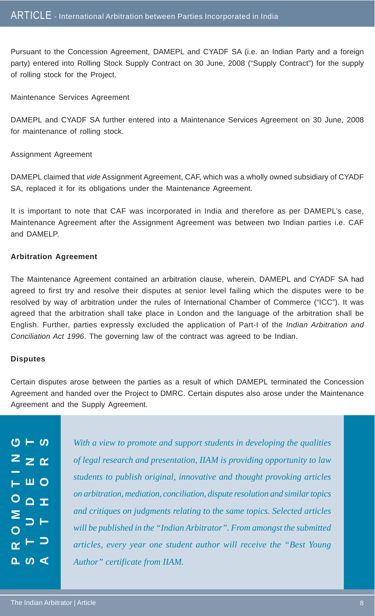Pursuant to the Concession Agreement, DAMEPL and CYADF SA (i.e. an Indian Party and a foreign party) entered into Rolling Stock Supply Contract on 30 June, 2008 ("Supply Contract") for the supply of rolling stock for the Project.

Maintenance Services Agreement

DAMEPL and CYADF SA further entered into a Maintenance Services Agreement on 30 June, 2008 for maintenance of rolling stock.

Assignment Agreement

DAMEPL claimed that *vide* Assignment Agreement, CAF, which was a wholly owned subsidiary of CYADF SA, replaced it for its obligations under the Maintenance Agreement.

It is important to note that CAF was incorporated in India and therefore as per DAMEPL's case, Maintenance Agreement after the Assignment Agreement was between two Indian parties i.e. CAF and DAMELP.

#### **Arbitration Agreement**

The Maintenance Agreement contained an arbitration clause, wherein, DAMEPL and CYADF SA had agreed to first try and resolve their disputes at senior level failing which the disputes were to be resolved by way of arbitration under the rules of International Chamber of Commerce ("ICC"). It was agreed that the arbitration shall take place in London and the language of the arbitration shall be English. Further, parties expressly excluded the application of Part-I of the *Indian Arbitration and Conciliation Act 1996*. The governing law of the contract was agreed to be Indian.

#### **Disputes**

Certain disputes arose between the parties as a result of which DAMEPL terminated the Concession Agreement and handed over the Project to DMRC. Certain disputes also arose under the Maintenance Agreement and the Supply Agreement.

 $O - O$ **STUDENT AUTHORS PROMOTING**  $z \geq \alpha$ – ш 0  $O \nightharpoonup x$ ∼ ⊢ ⊃  $\sim$   $\sim$   $\sim$ 

*With a view to promote and support students in developing the qualities of legal research and presentation, IIAM is providing opportunity to law students to publish original, innovative and thought provoking articles on arbitration, mediation, conciliation, dispute resolution and similar topics and critiques on judgments relating to the same topics. Selected articles will be published in the "Indian Arbitrator". From amongst the submitted articles, every year one student author will receive the "Best Young Author" certificate from IIAM.*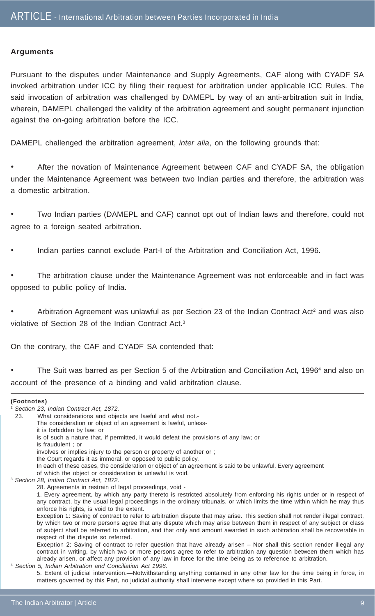#### **Arguments**

Pursuant to the disputes under Maintenance and Supply Agreements, CAF along with CYADF SA invoked arbitration under ICC by filing their request for arbitration under applicable ICC Rules. The said invocation of arbitration was challenged by DAMEPL by way of an anti-arbitration suit in India, wherein, DAMEPL challenged the validity of the arbitration agreement and sought permanent injunction against the on-going arbitration before the ICC.

DAMEPL challenged the arbitration agreement, *inter alia*, on the following grounds that:

• After the novation of Maintenance Agreement between CAF and CYADF SA, the obligation under the Maintenance Agreement was between two Indian parties and therefore, the arbitration was a domestic arbitration.

• Two Indian parties (DAMEPL and CAF) cannot opt out of Indian laws and therefore, could not agree to a foreign seated arbitration.

• Indian parties cannot exclude Part-I of the Arbitration and Conciliation Act, 1996.

The arbitration clause under the Maintenance Agreement was not enforceable and in fact was opposed to public policy of India.

• Arbitration Agreement was unlawful as per Section 23 of the Indian Contract Act<sup>2</sup> and was also violative of Section 28 of the Indian Contract Act.3

On the contrary, the CAF and CYADF SA contended that:

• The Suit was barred as per Section 5 of the Arbitration and Conciliation Act, 1996<sup>4</sup> and also on account of the presence of a binding and valid arbitration clause.

#### **(Footnotes)**

<sup>2</sup> *Section 23, Indian Contract Act, 1872.*

- 23. What considerations and objects are lawful and what not.-
	- The consideration or object of an agreement is lawful, unless-
	- it is forbidden by law; or
	- is of such a nature that, if permitted, it would defeat the provisions of any law; or
	- is fraudulent ; or

involves or implies injury to the person or property of another or ;

- the Court regards it as immoral, or opposed to public policy.
- In each of these cases, the consideration or object of an agreement is said to be unlawful. Every agreement
- of which the object or consideration is unlawful is void.
- <sup>3</sup> *Section 28, Indian Contract Act, 1872.*
	- 28. Agreements in restrain of legal proceedings, void -

#### Exception 2: Saving of contract to refer question that have already arisen – Nor shall this section render illegal any contract in writing, by which two or more persons agree to refer to arbitration any question between them which has already arisen, or affect any provision of any law in force for the time being as to reference to arbitration.

#### <sup>4</sup> *Section 5, Indian Arbitration and Conciliation Act 1996.* 5. Extent of judicial intervention.—Notwithstanding anything contained in any other law for the time being in force, in matters governed by this Part, no judicial authority shall intervene except where so provided in this Part.

<sup>1.</sup> Every agreement, by which any party thereto is restricted absolutely from enforcing his rights under or in respect of any contract, by the usual legal proceedings in the ordinary tribunals, or which limits the time within which he may thus enforce his rights, is void to the extent.

Exception 1: Saving of contract to refer to arbitration dispute that may arise. This section shall not render illegal contract, by which two or more persons agree that any dispute which may arise between them in respect of any subject or class of subject shall be referred to arbitration, and that only and amount awarded in such arbitration shall be recoverable in respect of the dispute so referred.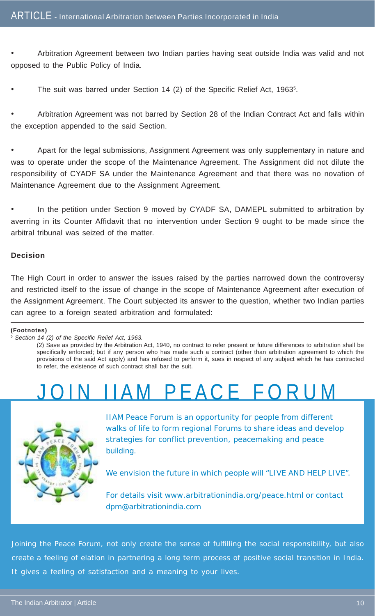• Arbitration Agreement between two Indian parties having seat outside India was valid and not opposed to the Public Policy of India.

The suit was barred under Section 14 (2) of the Specific Relief Act, 1963<sup>5</sup>.

• Arbitration Agreement was not barred by Section 28 of the Indian Contract Act and falls within the exception appended to the said Section.

• Apart for the legal submissions, Assignment Agreement was only supplementary in nature and was to operate under the scope of the Maintenance Agreement. The Assignment did not dilute the responsibility of CYADF SA under the Maintenance Agreement and that there was no novation of Maintenance Agreement due to the Assignment Agreement.

In the petition under Section 9 moved by CYADF SA, DAMEPL submitted to arbitration by averring in its Counter Affidavit that no intervention under Section 9 ought to be made since the arbitral tribunal was seized of the matter.

#### **Decision**

The High Court in order to answer the issues raised by the parties narrowed down the controversy and restricted itself to the issue of change in the scope of Maintenance Agreement after execution of the Assignment Agreement. The Court subjected its answer to the question, whether two Indian parties can agree to a foreign seated arbitration and formulated:

#### **(Footnotes)**

<sup>5</sup> *Section 14 (2) of the Specific Relief Act, 1963.*

(2) Save as provided by the Arbitration Act, 1940, no contract to refer present or future differences to arbitration shall be specifically enforced; but if any person who has made such a contract (other than arbitration agreement to which the provisions of the said Act apply) and has refused to perform it, sues in respect of any subject which he has contracted to refer, the existence of such contract shall bar the suit.

# M PFACE FORUM



IIAM Peace Forum is an opportunity for people from different walks of life to form regional Forums to share ideas and develop strategies for conflict prevention, peacemaking and peace building.

We envision the future in which people will "LIVE AND HELP LIVE".

For details visit www.arbitrationindia.org/peace.html or contact dpm@arbitrationindia.com

Joining the Peace Forum, not only create the sense of fulfilling the social responsibility, but also create a feeling of elation in partnering a long term process of positive social transition in India. It gives a feeling of satisfaction and a meaning to your lives.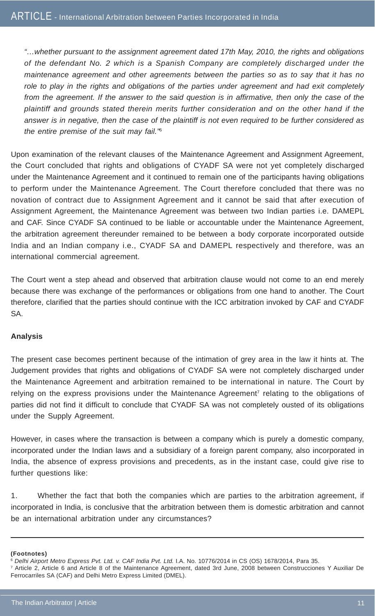*"…whether pursuant to the assignment agreement dated 17th May, 2010, the rights and obligations of the defendant No. 2 which is a Spanish Company are completely discharged under the maintenance agreement and other agreements between the parties so as to say that it has no role to play in the rights and obligations of the parties under agreement and had exit completely from the agreement. If the answer to the said question is in affirmative, then only the case of the plaintiff and grounds stated therein merits further consideration and on the other hand if the answer is in negative, then the case of the plaintiff is not even required to be further considered as the entire premise of the suit may fail."*<sup>6</sup>

Upon examination of the relevant clauses of the Maintenance Agreement and Assignment Agreement, the Court concluded that rights and obligations of CYADF SA were not yet completely discharged under the Maintenance Agreement and it continued to remain one of the participants having obligations to perform under the Maintenance Agreement. The Court therefore concluded that there was no novation of contract due to Assignment Agreement and it cannot be said that after execution of Assignment Agreement, the Maintenance Agreement was between two Indian parties i.e. DAMEPL and CAF. Since CYADF SA continued to be liable or accountable under the Maintenance Agreement, the arbitration agreement thereunder remained to be between a body corporate incorporated outside India and an Indian company i.e., CYADF SA and DAMEPL respectively and therefore, was an international commercial agreement.

The Court went a step ahead and observed that arbitration clause would not come to an end merely because there was exchange of the performances or obligations from one hand to another. The Court therefore, clarified that the parties should continue with the ICC arbitration invoked by CAF and CYADF SA.

#### **Analysis**

The present case becomes pertinent because of the intimation of grey area in the law it hints at. The Judgement provides that rights and obligations of CYADF SA were not completely discharged under the Maintenance Agreement and arbitration remained to be international in nature. The Court by relying on the express provisions under the Maintenance Agreement<sup>7</sup> relating to the obligations of parties did not find it difficult to conclude that CYADF SA was not completely ousted of its obligations under the Supply Agreement.

However, in cases where the transaction is between a company which is purely a domestic company, incorporated under the Indian laws and a subsidiary of a foreign parent company, also incorporated in India, the absence of express provisions and precedents, as in the instant case, could give rise to further questions like:

1. Whether the fact that both the companies which are parties to the arbitration agreement, if incorporated in India, is conclusive that the arbitration between them is domestic arbitration and cannot be an international arbitration under any circumstances?

**<sup>(</sup>Footnotes)**

<sup>6</sup> *Delhi Airport Metro Express Pvt. Ltd. v. CAF India Pvt. Ltd.* I.A. No. 10776/2014 in CS (OS) 1678/2014, Para 35.

<sup>7</sup> Article 2, Article 6 and Article 8 of the Maintenance Agreement, dated 3rd June, 2008 between Construcciones Y Auxiliar De Ferrocarriles SA (CAF) and Delhi Metro Express Limited (DMEL).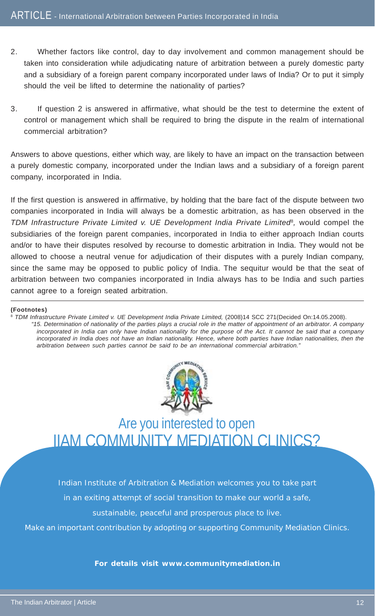- 2. Whether factors like control, day to day involvement and common management should be taken into consideration while adjudicating nature of arbitration between a purely domestic party and a subsidiary of a foreign parent company incorporated under laws of India? Or to put it simply should the veil be lifted to determine the nationality of parties?
- 3. If question 2 is answered in affirmative, what should be the test to determine the extent of control or management which shall be required to bring the dispute in the realm of international commercial arbitration?

Answers to above questions, either which way, are likely to have an impact on the transaction between a purely domestic company, incorporated under the Indian laws and a subsidiary of a foreign parent company, incorporated in India.

If the first question is answered in affirmative, by holding that the bare fact of the dispute between two companies incorporated in India will always be a domestic arbitration, as has been observed in the *TDM Infrastructure Private Limited v. UE Development India Private Limited*8*,* would compel the subsidiaries of the foreign parent companies, incorporated in India to either approach Indian courts and/or to have their disputes resolved by recourse to domestic arbitration in India. They would not be allowed to choose a neutral venue for adjudication of their disputes with a purely Indian company, since the same may be opposed to public policy of India. The sequitur would be that the seat of arbitration between two companies incorporated in India always has to be India and such parties cannot agree to a foreign seated arbitration.

#### **(Footnotes)**

<sup>8</sup> *TDM Infrastructure Private Limited v. UE Development India Private Limited,* (2008)14 SCC 271(Decided On:14.05.2008). *"15. Determination of nationality of the parties plays a crucial role in the matter of appointment of an arbitrator. A company incorporated in India can only have Indian nationality for the purpose of the Act. It cannot be said that a company incorporated in India does not have an Indian nationality. Hence, where both parties have Indian nationalities, then the arbitration between such parties cannot be said to be an international commercial arbitration."*



Are you interested to open IIAM COMMUNITY MEDIATION CLINICS?

Indian Institute of Arbitration & Mediation welcomes you to take part

in an exiting attempt of social transition to make our world a safe,

sustainable, peaceful and prosperous place to live.

Make an important contribution by adopting or supporting Community Mediation Clinics.

**For details visit www.communitymediation.in**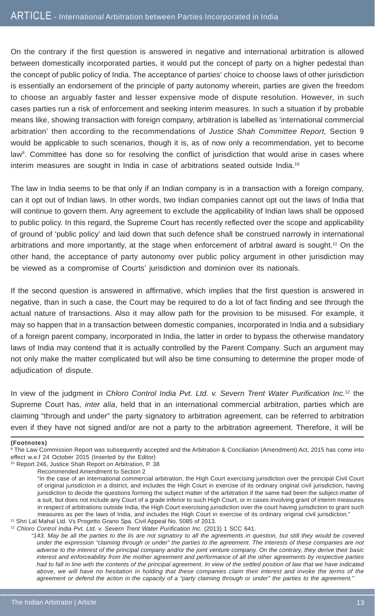On the contrary if the first question is answered in negative and international arbitration is allowed between domestically incorporated parties, it would put the concept of party on a higher pedestal than the concept of public policy of India. The acceptance of parties' choice to choose laws of other jurisdiction is essentially an endorsement of the principle of party autonomy wherein, parties are given the freedom to choose an arguably faster and lesser expensive mode of dispute resolution. However, in such cases parties run a risk of enforcement and seeking interim measures. In such a situation if by probable means like, showing transaction with foreign company, arbitration is labelled as 'international commercial arbitration' then according to the recommendations of *Justice Shah Committee Report,* Section 9 would be applicable to such scenarios, though it is, as of now only a recommendation, yet to become law<sup>9</sup>. Committee has done so for resolving the conflict of jurisdiction that would arise in cases where interim measures are sought in India in case of arbitrations seated outside India.10

The law in India seems to be that only if an Indian company is in a transaction with a foreign company, can it opt out of Indian laws. In other words, two Indian companies cannot opt out the laws of India that will continue to govern them. Any agreement to exclude the applicability of Indian laws shall be opposed to public policy. In this regard, the Supreme Court has recently reflected over the scope and applicability of ground of 'public policy' and laid down that such defence shall be construed narrowly in international arbitrations and more importantly, at the stage when enforcement of arbitral award is sought.11 On the other hand, the acceptance of party autonomy over public policy argument in other jurisdiction may be viewed as a compromise of Courts' jurisdiction and dominion over its nationals.

If the second question is answered in affirmative, which implies that the first question is answered in negative, than in such a case, the Court may be required to do a lot of fact finding and see through the actual nature of transactions. Also it may allow path for the provision to be misused. For example, it may so happen that in a transaction between domestic companies, incorporated in India and a subsidiary of a foreign parent company, incorporated in India, the latter in order to bypass the otherwise mandatory laws of India may contend that it is actually controlled by the Parent Company. Such an argument may not only make the matter complicated but will also be time consuming to determine the proper mode of adjudication of dispute.

In view of the judgment in *Chloro Control India Pvt. Ltd. v. Severn Trent Water Purification Inc.*12 the Supreme Court has*, inter alia*, held that in an international commercial arbitration, parties which are claiming "through and under" the party signatory to arbitration agreement, can be referred to arbitration even if they have not signed and/or are not a party to the arbitration agreement. Therefore, it will be

#### **(Footnotes)**

9 The Law Commission Report was subsequently accepted and the Arbitration & Conciliation (Amendment) Act, 2015 has come into effect w.e.f 24 October 2015 (Inserted by the Editor)

10 Report 246, Justice Shah Report on Arbitration, P. 38

<sup>12</sup> *Chloro Control India Pvt. Ltd. v. Severn Trent Water Purification Inc.* (2013) 1 SCC 641.

*"143. May be all the parties to the lis are not signatory to all the agreements in question, but still they would be covered under the expression "claiming through or under" the parties to the agreement. The interests of these companies are not adverse to the interest of the principal company and/or the joint venture company. On the contrary, they derive their basic interest and enforceability from the mother agreement and performance of all the other agreements by respective parties had to fall in line with the contents of the principal agreement. In view of the settled position of law that we have indicated above, we will have no hesitation in holding that these companies claim their interest and invoke the terms of the agreement or defend the action in the capacity of a "party claiming through or under" the parties to the agreement."*

Recommended Amendment to Section 2

<sup>&</sup>quot;In the case of an international commercial arbitration, the High Court exercising jurisdiction over the principal Civil Court of original jurisdiction in a district, and includes the High Court in exercise of its ordinary original civil jurisdiction, having jurisdiction to decide the questions forming the subject matter of the arbitration if the same had been the subject-matter of a suit, but does not include any Court of a grade inferior to such High Court, or in cases involving grant of interim measures in respect of arbitrations outside India, the High Court exercising jurisdiction over the court having jurisdiction to grant such measures as per the laws of India, and includes the High Court in exercise of its ordinary original civil jurisdiction." 11 Shri Lal Mahal Ltd. Vs Progetto Grano Spa. Civil Appeal No. 5085 of 2013.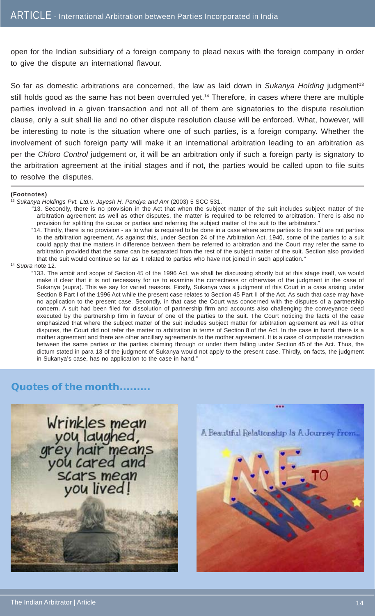open for the Indian subsidiary of a foreign company to plead nexus with the foreign company in order to give the dispute an international flavour.

So far as domestic arbitrations are concerned, the law as laid down in *Sukanya Holding* judgment<sup>13</sup> still holds good as the same has not been overruled yet.<sup>14</sup> Therefore, in cases where there are multiple parties involved in a given transaction and not all of them are signatories to the dispute resolution clause, only a suit shall lie and no other dispute resolution clause will be enforced. What, however, will be interesting to note is the situation where one of such parties, is a foreign company. Whether the involvement of such foreign party will make it an international arbitration leading to an arbitration as per the *Chloro Control* judgement or, it will be an arbitration only if such a foreign party is signatory to the arbitration agreement at the initial stages and if not, the parties would be called upon to file suits to resolve the disputes.

#### **(Footnotes)**

<sup>13</sup> Sukanya Holdings Pvt. Ltd.v. Jayesh H. Pandya and Anr (2003) 5 SCC 531.

- *"*13. Secondly, there is no provision in the Act that when the subject matter of the suit includes subject matter of the arbitration agreement as well as other disputes, the matter is required to be referred to arbitration. There is also no provision for splitting the cause or parties and referring the subject matter of the suit to the arbitrators."
- "14. Thirdly, there is no provision as to what is required to be done in a case where some parties to the suit are not parties to the arbitration agreement. As against this, under Section 24 of the Arbitration Act, 1940, some of the parties to a suit could apply that the matters in difference between them be referred to arbitration and the Court may refer the same to arbitration provided that the same can be separated from the rest of the subject matter of the suit. Section also provided that the suit would continue so far as it related to parties who have not joined in such application.*"*

<sup>14</sup> *Supra* note 12*.*

"133. The ambit and scope of Section 45 of the 1996 Act, we shall be discussing shortly but at this stage itself, we would make it clear that it is not necessary for us to examine the correctness or otherwise of the judgment in the case of Sukanya (supra). This we say for varied reasons. Firstly, Sukanya was a judgment of this Court in a case arising under Section 8 Part I of the 1996 Act while the present case relates to Section 45 Part II of the Act. As such that case may have no application to the present case. Secondly, in that case the Court was concerned with the disputes of a partnership concern. A suit had been filed for dissolution of partnership firm and accounts also challenging the conveyance deed executed by the partnership firm in favour of one of the parties to the suit. The Court noticing the facts of the case emphasized that where the subject matter of the suit includes subject matter for arbitration agreement as well as other disputes, the Court did not refer the matter to arbitration in terms of Section 8 of the Act. In the case in hand, there is a mother agreement and there are other ancillary agreements to the mother agreement. It is a case of composite transaction between the same parties or the parties claiming through or under them falling under Section 45 of the Act. Thus, the dictum stated in para 13 of the judgment of Sukanya would not apply to the present case. Thirdly, on facts, the judgment in Sukanya's case, has no application to the case in hand."

#### **Quotes of the month.........**



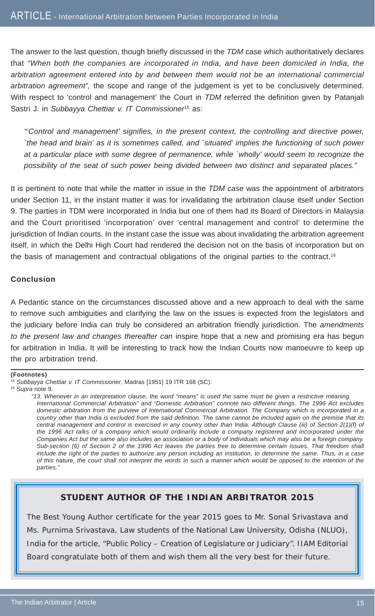The answer to the last question, though briefly discussed in the *TDM* case which authoritatively declares that *"When both the companies are incorporated in India, and have been domiciled in India, the arbitration agreement entered into by and between them would not be an international commercial arbitration agreement",* the scope and range of the judgement is yet to be conclusively determined. With respect to 'control and management' the Court in *TDM* referred the definition given by Patanjali Sastri J. in Subbayya Chettiar v. IT Commissioner<sup>15</sup> as:

*"'Control and management' signifies, in the present context, the controlling and directive power, `the head and brain' as it is sometimes called, and `situated' implies the functioning of such power at a particular place with some degree of permanence, while `wholly' would seem to recognize the possibility of the seat of such power being divided between two distinct and separated places."*

It is pertinent to note that while the matter in issue in the *TDM case* was the appointment of arbitrators under Section 11, in the instant matter it was for invalidating the arbitration clause itself under Section 9. The parties in TDM were incorporated in India but one of them had its Board of Directors in Malaysia and the Court prioritised 'incorporation' over 'central management and control' to determine the jurisdiction of Indian courts. In the instant case the issue was about invalidating the arbitration agreement itself, in which the Delhi High Court had rendered the decision not on the basis of incorporation but on the basis of management and contractual obligations of the original parties to the contract.<sup>16</sup>

#### **Conclusion**

A Pedantic stance on the circumstances discussed above and a new approach to deal with the same to remove such ambiguities and clarifying the law on the issues is expected from the legislators and the judiciary before India can truly be considered an arbitration friendly jurisdiction. The *amendments to the present law and changes thereafter can* inspire hope that a new and promising era has begun for arbitration in India. It will be interesting to track how the Indian Courts now manoeuvre to keep up the pro arbitration trend.

#### **(Footnotes)**

#### **STUDENT AUTHOR OF THE INDIAN ARBITRATOR 2015**

The Best Young Author certificate for the year 2015 goes to Mr. Sonal Srivastava and Ms. Purnima Srivastava, Law students of the National Law University, Odisha (NLUO), India for the article, "Public Policy – Creation of Legislature or Judiciary". IIAM Editorial Board congratulate both of them and wish them all the very best for their future.

<sup>15</sup> *Subbayya Chettiar v. IT Commissioner*, Madras [1951] 19 ITR 168 (SC).

<sup>16</sup> *Supra* note 9*.*

*<sup>&</sup>quot;13. Whenever in an interpretation clause, the word "means" is used the same must be given a restrictive meaning. International Commercial Arbitration" and "Domestic Arbitration" connote two different things. The 1996 Act excludes domestic arbitration from the purview of International Commercial Arbitration. The Company which is incorporated in a country other than India is excluded from the said definition. The same cannot be included again on the premise that its central management and control is exercised in any country other than India. Although Clause (iii) of Section 2(1)(f) of the 1996 Act talks of a company which would ordinarily include a company registered and incorporated under the Companies Act but the same also includes an association or a body of individuals which may also be a foreign company. Sub-section (6) of Section 2 of the 1996 Act leaves the parties free to determine certain issues. That freedom shall include the right of the parties to authorize any person including an institution, to determine the same. Thus, in a case of this nature, the court shall not interpret the words in such a manner which would be opposed to the intention of the parties."*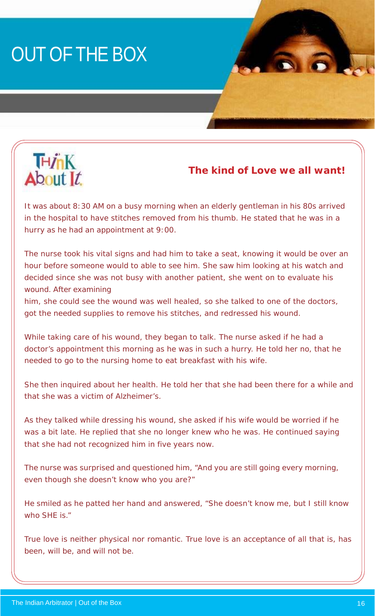# OUT OF THE BOX



#### **The kind of Love we all want!**

It was about 8:30 AM on a busy morning when an elderly gentleman in his 80s arrived in the hospital to have stitches removed from his thumb. He stated that he was in a hurry as he had an appointment at 9:00.

The nurse took his vital signs and had him to take a seat, knowing it would be over an hour before someone would to able to see him. She saw him looking at his watch and decided since she was not busy with another patient, she went on to evaluate his wound. After examining

him, she could see the wound was well healed, so she talked to one of the doctors, got the needed supplies to remove his stitches, and redressed his wound.

While taking care of his wound, they began to talk. The nurse asked if he had a doctor's appointment this morning as he was in such a hurry. He told her no, that he needed to go to the nursing home to eat breakfast with his wife.

She then inquired about her health. He told her that she had been there for a while and that she was a victim of Alzheimer's.

As they talked while dressing his wound, she asked if his wife would be worried if he was a bit late. He replied that she no longer knew who he was. He continued saying that she had not recognized him in five years now.

The nurse was surprised and questioned him, "And you are still going every morning, even though she doesn't know who you are?"

He smiled as he patted her hand and answered, "She doesn't know me, but I still know who SHE is."

True love is neither physical nor romantic. True love is an acceptance of all that is, has been, will be, and will not be.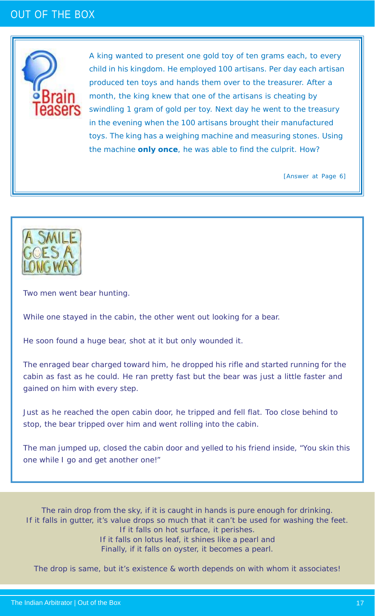### OUT OF THE BOX



A king wanted to present one gold toy of ten grams each, to every child in his kingdom. He employed 100 artisans. Per day each artisan produced ten toys and hands them over to the treasurer. After a month, the king knew that one of the artisans is cheating by swindling 1 gram of gold per toy. Next day he went to the treasury in the evening when the 100 artisans brought their manufactured toys. The king has a weighing machine and measuring stones. Using the machine *only once*, he was able to find the culprit. How?

[Answer at Page 6]



Two men went bear hunting.

While one stayed in the cabin, the other went out looking for a bear.

He soon found a huge bear, shot at it but only wounded it.

The enraged bear charged toward him, he dropped his rifle and started running for the cabin as fast as he could. He ran pretty fast but the bear was just a little faster and gained on him with every step.

Just as he reached the open cabin door, he tripped and fell flat. Too close behind to stop, the bear tripped over him and went rolling into the cabin.

The man jumped up, closed the cabin door and yelled to his friend inside, "You skin this one while I go and get another one!"

The rain drop from the sky, if it is caught in hands is pure enough for drinking. If it falls in gutter, it's value drops so much that it can't be used for washing the feet. If it falls on hot surface, it perishes. If it falls on lotus leaf, it shines like a pearl and Finally, if it falls on oyster, it becomes a pearl.

The drop is same, but it's existence & worth depends on with whom it associates!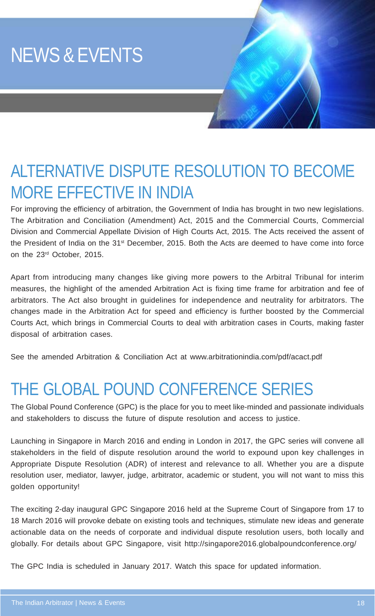# NEWS & EVENTS

## ALTERNATIVE DISPUTE RESOLUTION TO BECOME MORE EFFECTIVE IN INDIA

For improving the efficiency of arbitration, the Government of India has brought in two new legislations. The Arbitration and Conciliation (Amendment) Act, 2015 and the Commercial Courts, Commercial Division and Commercial Appellate Division of High Courts Act, 2015. The Acts received the assent of the President of India on the 31<sup>st</sup> December, 2015. Both the Acts are deemed to have come into force on the 23rd October, 2015.

Apart from introducing many changes like giving more powers to the Arbitral Tribunal for interim measures, the highlight of the amended Arbitration Act is fixing time frame for arbitration and fee of arbitrators. The Act also brought in guidelines for independence and neutrality for arbitrators. The changes made in the Arbitration Act for speed and efficiency is further boosted by the Commercial Courts Act, which brings in Commercial Courts to deal with arbitration cases in Courts, making faster disposal of arbitration cases.

See the amended Arbitration & Conciliation Act at www.arbitrationindia.com/pdf/acact.pdf

### THE GLOBAL POUND CONFERENCE SERIES

The Global Pound Conference (GPC) is the place for you to meet like-minded and passionate individuals and stakeholders to discuss the future of dispute resolution and access to justice.

Launching in Singapore in March 2016 and ending in London in 2017, the GPC series will convene all stakeholders in the field of dispute resolution around the world to expound upon key challenges in Appropriate Dispute Resolution (ADR) of interest and relevance to all. Whether you are a dispute resolution user, mediator, lawyer, judge, arbitrator, academic or student, you will not want to miss this golden opportunity!

The exciting 2-day inaugural GPC Singapore 2016 held at the Supreme Court of Singapore from 17 to 18 March 2016 will provoke debate on existing tools and techniques, stimulate new ideas and generate actionable data on the needs of corporate and individual dispute resolution users, both locally and globally. For details about GPC Singapore, visit http://singapore2016.globalpoundconference.org/

The GPC India is scheduled in January 2017. Watch this space for updated information.